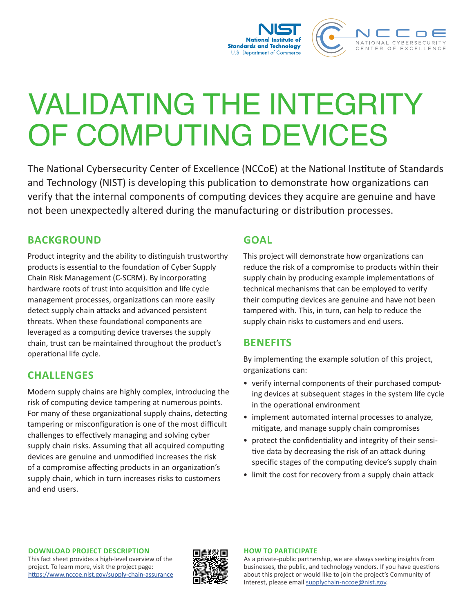

# VALIDATING THE INTEGRITY OF COMPUTING DEVICES

The National Cybersecurity Center of Excellence (NCCoE) at the National Institute of Standards and Technology (NIST) is developing this publication to demonstrate how organizations can verify that the internal components of computing devices they acquire are genuine and have not been unexpectedly altered during the manufacturing or distribution processes.

## **BACKGROUND**

Product integrity and the ability to distinguish trustworthy products is essential to the foundation of Cyber Supply Chain Risk Management (C-SCRM). By incorporating hardware roots of trust into acquisition and life cycle management processes, organizations can more easily detect supply chain attacks and advanced persistent threats. When these foundational components are leveraged as a computing device traverses the supply chain, trust can be maintained throughout the product's operational life cycle.

# **CHALLENGES**

Modern supply chains are highly complex, introducing the risk of computing device tampering at numerous points. For many of these organizational supply chains, detecting tampering or misconfiguration is one of the most difficult challenges to effectively managing and solving cyber supply chain risks. Assuming that all acquired computing devices are genuine and unmodified increases the risk of a compromise affecting products in an organization's supply chain, which in turn increases risks to customers and end users.

#### **GOAL**

This project will demonstrate how organizations can reduce the risk of a compromise to products within their supply chain by producing example implementations of technical mechanisms that can be employed to verify their computing devices are genuine and have not been tampered with. This, in turn, can help to reduce the supply chain risks to customers and end users.

## **BENEFITS**

By implementing the example solution of this project, organizations can:

- verify internal components of their purchased computing devices at subsequent stages in the system life cycle in the operational environment
- implement automated internal processes to analyze, mitigate, and manage supply chain compromises
- protect the confidentiality and integrity of their sensitive data by decreasing the risk of an attack during specific stages of the computing device's supply chain
- limit the cost for recovery from a supply chain attack

#### **DOWNLOAD PROJECT DESCRIPTION**

This fact sheet provides a high-level overview of the project. To learn more, visit the project page: <https://www.nccoe.nist.gov/supply-chain-assurance>



#### **HOW TO PARTICIPATE**

As a private-public partnership, we are always seeking insights from businesses, the public, and technology vendors. If you have questions about this project or would like to join the project's Community of Interest, please email [supplychain-nccoe@nist.gov.](mailto:supplychain-nccoe%40nist.gov?subject=)